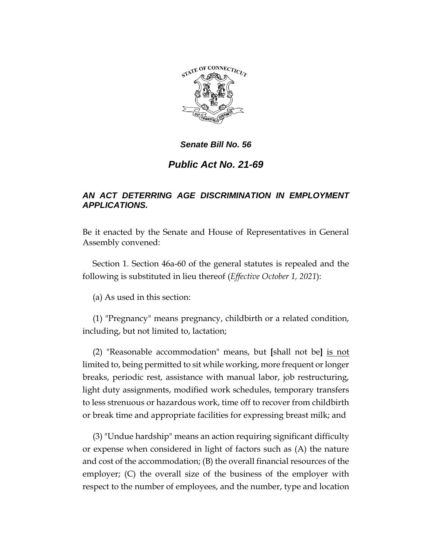

# *Public Act No. 21-69*

# *AN ACT DETERRING AGE DISCRIMINATION IN EMPLOYMENT APPLICATIONS.*

Be it enacted by the Senate and House of Representatives in General Assembly convened:

Section 1. Section 46a-60 of the general statutes is repealed and the following is substituted in lieu thereof (*Effective October 1, 2021*):

(a) As used in this section:

(1) "Pregnancy" means pregnancy, childbirth or a related condition, including, but not limited to, lactation;

(2) "Reasonable accommodation" means, but **[**shall not be**]** is not limited to, being permitted to sit while working, more frequent or longer breaks, periodic rest, assistance with manual labor, job restructuring, light duty assignments, modified work schedules, temporary transfers to less strenuous or hazardous work, time off to recover from childbirth or break time and appropriate facilities for expressing breast milk; and

(3) "Undue hardship" means an action requiring significant difficulty or expense when considered in light of factors such as (A) the nature and cost of the accommodation; (B) the overall financial resources of the employer; (C) the overall size of the business of the employer with respect to the number of employees, and the number, type and location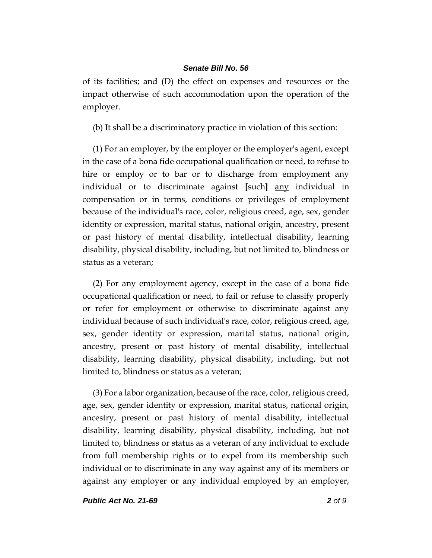of its facilities; and (D) the effect on expenses and resources or the impact otherwise of such accommodation upon the operation of the employer.

(b) It shall be a discriminatory practice in violation of this section:

(1) For an employer, by the employer or the employer's agent, except in the case of a bona fide occupational qualification or need, to refuse to hire or employ or to bar or to discharge from employment any individual or to discriminate against **[**such**]** any individual in compensation or in terms, conditions or privileges of employment because of the individual's race, color, religious creed, age, sex, gender identity or expression, marital status, national origin, ancestry, present or past history of mental disability, intellectual disability, learning disability, physical disability, including, but not limited to, blindness or status as a veteran;

(2) For any employment agency, except in the case of a bona fide occupational qualification or need, to fail or refuse to classify properly or refer for employment or otherwise to discriminate against any individual because of such individual's race, color, religious creed, age, sex, gender identity or expression, marital status, national origin, ancestry, present or past history of mental disability, intellectual disability, learning disability, physical disability, including, but not limited to, blindness or status as a veteran;

(3) For a labor organization, because of the race, color, religious creed, age, sex, gender identity or expression, marital status, national origin, ancestry, present or past history of mental disability, intellectual disability, learning disability, physical disability, including, but not limited to, blindness or status as a veteran of any individual to exclude from full membership rights or to expel from its membership such individual or to discriminate in any way against any of its members or against any employer or any individual employed by an employer,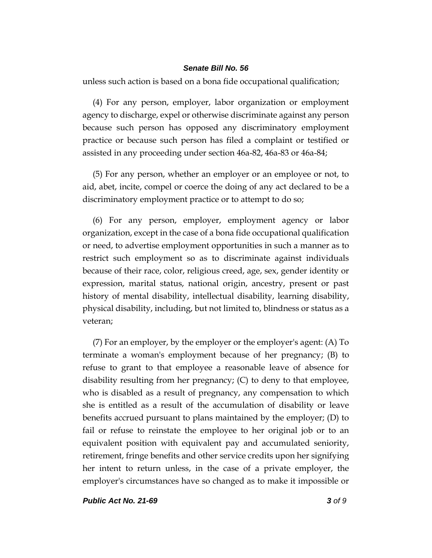unless such action is based on a bona fide occupational qualification;

(4) For any person, employer, labor organization or employment agency to discharge, expel or otherwise discriminate against any person because such person has opposed any discriminatory employment practice or because such person has filed a complaint or testified or assisted in any proceeding under section 46a-82, 46a-83 or 46a-84;

(5) For any person, whether an employer or an employee or not, to aid, abet, incite, compel or coerce the doing of any act declared to be a discriminatory employment practice or to attempt to do so;

(6) For any person, employer, employment agency or labor organization, except in the case of a bona fide occupational qualification or need, to advertise employment opportunities in such a manner as to restrict such employment so as to discriminate against individuals because of their race, color, religious creed, age, sex, gender identity or expression, marital status, national origin, ancestry, present or past history of mental disability, intellectual disability, learning disability, physical disability, including, but not limited to, blindness or status as a veteran;

(7) For an employer, by the employer or the employer's agent: (A) To terminate a woman's employment because of her pregnancy; (B) to refuse to grant to that employee a reasonable leave of absence for disability resulting from her pregnancy; (C) to deny to that employee, who is disabled as a result of pregnancy, any compensation to which she is entitled as a result of the accumulation of disability or leave benefits accrued pursuant to plans maintained by the employer; (D) to fail or refuse to reinstate the employee to her original job or to an equivalent position with equivalent pay and accumulated seniority, retirement, fringe benefits and other service credits upon her signifying her intent to return unless, in the case of a private employer, the employer's circumstances have so changed as to make it impossible or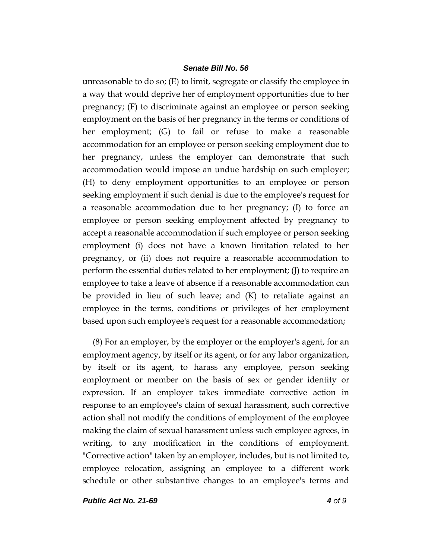unreasonable to do so; (E) to limit, segregate or classify the employee in a way that would deprive her of employment opportunities due to her pregnancy; (F) to discriminate against an employee or person seeking employment on the basis of her pregnancy in the terms or conditions of her employment; (G) to fail or refuse to make a reasonable accommodation for an employee or person seeking employment due to her pregnancy, unless the employer can demonstrate that such accommodation would impose an undue hardship on such employer; (H) to deny employment opportunities to an employee or person seeking employment if such denial is due to the employee's request for a reasonable accommodation due to her pregnancy; (I) to force an employee or person seeking employment affected by pregnancy to accept a reasonable accommodation if such employee or person seeking employment (i) does not have a known limitation related to her pregnancy, or (ii) does not require a reasonable accommodation to perform the essential duties related to her employment; (J) to require an employee to take a leave of absence if a reasonable accommodation can be provided in lieu of such leave; and (K) to retaliate against an employee in the terms, conditions or privileges of her employment based upon such employee's request for a reasonable accommodation;

(8) For an employer, by the employer or the employer's agent, for an employment agency, by itself or its agent, or for any labor organization, by itself or its agent, to harass any employee, person seeking employment or member on the basis of sex or gender identity or expression. If an employer takes immediate corrective action in response to an employee's claim of sexual harassment, such corrective action shall not modify the conditions of employment of the employee making the claim of sexual harassment unless such employee agrees, in writing, to any modification in the conditions of employment. "Corrective action" taken by an employer, includes, but is not limited to, employee relocation, assigning an employee to a different work schedule or other substantive changes to an employee's terms and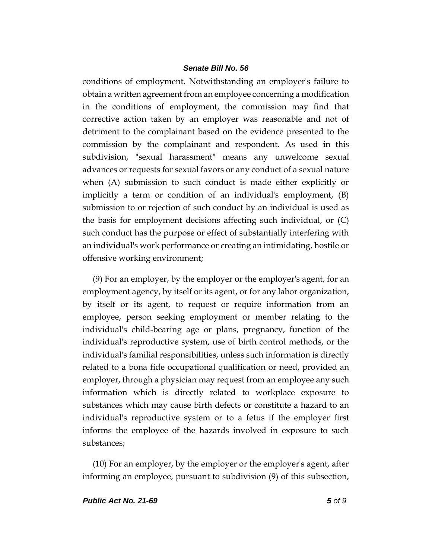conditions of employment. Notwithstanding an employer's failure to obtain a written agreement from an employee concerning a modification in the conditions of employment, the commission may find that corrective action taken by an employer was reasonable and not of detriment to the complainant based on the evidence presented to the commission by the complainant and respondent. As used in this subdivision, "sexual harassment" means any unwelcome sexual advances or requests for sexual favors or any conduct of a sexual nature when (A) submission to such conduct is made either explicitly or implicitly a term or condition of an individual's employment, (B) submission to or rejection of such conduct by an individual is used as the basis for employment decisions affecting such individual, or (C) such conduct has the purpose or effect of substantially interfering with an individual's work performance or creating an intimidating, hostile or offensive working environment;

(9) For an employer, by the employer or the employer's agent, for an employment agency, by itself or its agent, or for any labor organization, by itself or its agent, to request or require information from an employee, person seeking employment or member relating to the individual's child-bearing age or plans, pregnancy, function of the individual's reproductive system, use of birth control methods, or the individual's familial responsibilities, unless such information is directly related to a bona fide occupational qualification or need, provided an employer, through a physician may request from an employee any such information which is directly related to workplace exposure to substances which may cause birth defects or constitute a hazard to an individual's reproductive system or to a fetus if the employer first informs the employee of the hazards involved in exposure to such substances;

(10) For an employer, by the employer or the employer's agent, after informing an employee, pursuant to subdivision (9) of this subsection,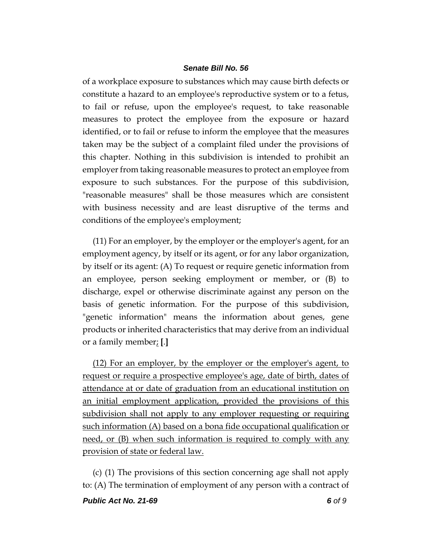of a workplace exposure to substances which may cause birth defects or constitute a hazard to an employee's reproductive system or to a fetus, to fail or refuse, upon the employee's request, to take reasonable measures to protect the employee from the exposure or hazard identified, or to fail or refuse to inform the employee that the measures taken may be the subject of a complaint filed under the provisions of this chapter. Nothing in this subdivision is intended to prohibit an employer from taking reasonable measures to protect an employee from exposure to such substances. For the purpose of this subdivision, "reasonable measures" shall be those measures which are consistent with business necessity and are least disruptive of the terms and conditions of the employee's employment;

(11) For an employer, by the employer or the employer's agent, for an employment agency, by itself or its agent, or for any labor organization, by itself or its agent: (A) To request or require genetic information from an employee, person seeking employment or member, or (B) to discharge, expel or otherwise discriminate against any person on the basis of genetic information. For the purpose of this subdivision, "genetic information" means the information about genes, gene products or inherited characteristics that may derive from an individual or a family member; **[**.**]**

(12) For an employer, by the employer or the employer's agent, to request or require a prospective employee's age, date of birth, dates of attendance at or date of graduation from an educational institution on an initial employment application, provided the provisions of this subdivision shall not apply to any employer requesting or requiring such information (A) based on a bona fide occupational qualification or need, or (B) when such information is required to comply with any provision of state or federal law.

(c) (1) The provisions of this section concerning age shall not apply to: (A) The termination of employment of any person with a contract of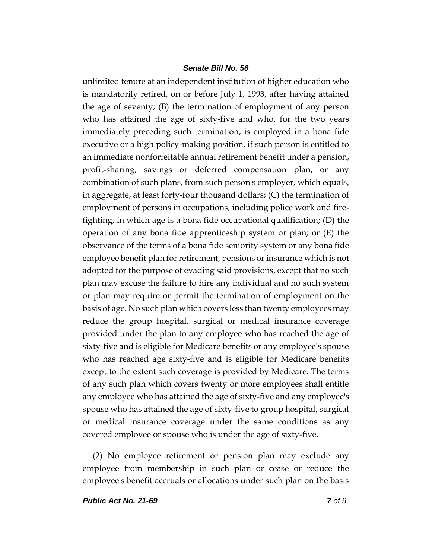unlimited tenure at an independent institution of higher education who is mandatorily retired, on or before July 1, 1993, after having attained the age of seventy; (B) the termination of employment of any person who has attained the age of sixty-five and who, for the two years immediately preceding such termination, is employed in a bona fide executive or a high policy-making position, if such person is entitled to an immediate nonforfeitable annual retirement benefit under a pension, profit-sharing, savings or deferred compensation plan, or any combination of such plans, from such person's employer, which equals, in aggregate, at least forty-four thousand dollars; (C) the termination of employment of persons in occupations, including police work and firefighting, in which age is a bona fide occupational qualification; (D) the operation of any bona fide apprenticeship system or plan; or (E) the observance of the terms of a bona fide seniority system or any bona fide employee benefit plan for retirement, pensions or insurance which is not adopted for the purpose of evading said provisions, except that no such plan may excuse the failure to hire any individual and no such system or plan may require or permit the termination of employment on the basis of age. No such plan which covers less than twenty employees may reduce the group hospital, surgical or medical insurance coverage provided under the plan to any employee who has reached the age of sixty-five and is eligible for Medicare benefits or any employee's spouse who has reached age sixty-five and is eligible for Medicare benefits except to the extent such coverage is provided by Medicare. The terms of any such plan which covers twenty or more employees shall entitle any employee who has attained the age of sixty-five and any employee's spouse who has attained the age of sixty-five to group hospital, surgical or medical insurance coverage under the same conditions as any covered employee or spouse who is under the age of sixty-five.

(2) No employee retirement or pension plan may exclude any employee from membership in such plan or cease or reduce the employee's benefit accruals or allocations under such plan on the basis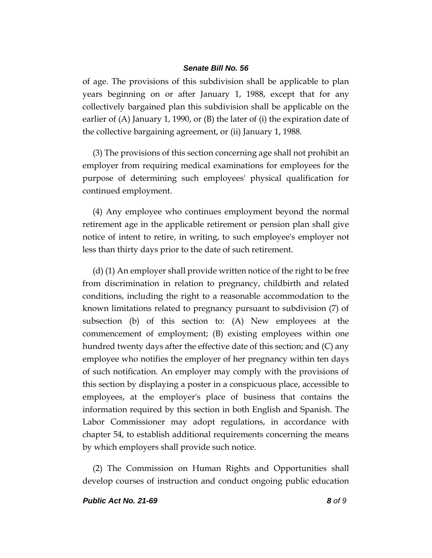of age. The provisions of this subdivision shall be applicable to plan years beginning on or after January 1, 1988, except that for any collectively bargained plan this subdivision shall be applicable on the earlier of (A) January 1, 1990, or (B) the later of (i) the expiration date of the collective bargaining agreement, or (ii) January 1, 1988.

(3) The provisions of this section concerning age shall not prohibit an employer from requiring medical examinations for employees for the purpose of determining such employees' physical qualification for continued employment.

(4) Any employee who continues employment beyond the normal retirement age in the applicable retirement or pension plan shall give notice of intent to retire, in writing, to such employee's employer not less than thirty days prior to the date of such retirement.

(d) (1) An employer shall provide written notice of the right to be free from discrimination in relation to pregnancy, childbirth and related conditions, including the right to a reasonable accommodation to the known limitations related to pregnancy pursuant to subdivision (7) of subsection (b) of this section to: (A) New employees at the commencement of employment; (B) existing employees within one hundred twenty days after the effective date of this section; and (C) any employee who notifies the employer of her pregnancy within ten days of such notification. An employer may comply with the provisions of this section by displaying a poster in a conspicuous place, accessible to employees, at the employer's place of business that contains the information required by this section in both English and Spanish. The Labor Commissioner may adopt regulations, in accordance with chapter 54, to establish additional requirements concerning the means by which employers shall provide such notice.

(2) The Commission on Human Rights and Opportunities shall develop courses of instruction and conduct ongoing public education